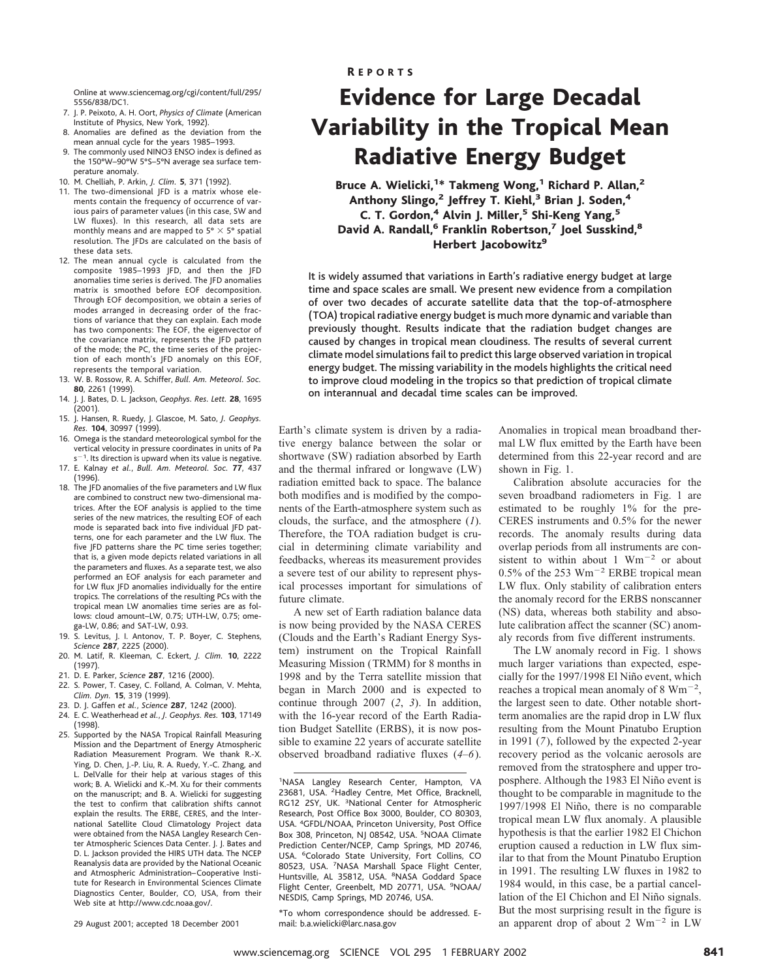Online at www.sciencemag.org/cgi/content/full/295/ 5556/838/DC1.

- 7. J. P. Peixoto, A. H. Oort, *Physics of Climate* (American Institute of Physics, New York, 1992). 8. Anomalies are defined as the deviation from the
- mean annual cycle for the years 1985–1993. 9. The commonly used NINO3 ENSO index is defined as
- the 150°W–90°W 5°S–5°N average sea surface temperature anomaly.
- 10. M. Chelliah, P. Arkin, *J. Clim.* **5**, 371 (1992).
- 11. The two-dimensional JFD is a matrix whose elements contain the frequency of occurrence of various pairs of parameter values (in this case, SW and LW fluxes). In this research, all data sets are monthly means and are mapped to 5°  $\times$  5° spatial resolution. The JFDs are calculated on the basis of these data sets.
- 12. The mean annual cycle is calculated from the composite 1985–1993 JFD, and then the JFD anomalies time series is derived. The JFD anomalies matrix is smoothed before EOF decomposition. Through EOF decomposition, we obtain a series of modes arranged in decreasing order of the fractions of variance that they can explain. Each mode has two components: The EOF, the eigenvector of the covariance matrix, represents the JFD pattern of the mode; the PC, the time series of the projection of each month's JFD anomaly on this EOF, represents the temporal variation.
- 13. W. B. Rossow, R. A. Schiffer, *Bull. Am. Meteorol. Soc.* **80**, 2261 (1999).
- 14. J. J. Bates, D. L. Jackson, *Geophys. Res. Lett.* **28**, 1695 (2001).
- 15. J. Hansen, R. Ruedy, J. Glascoe, M. Sato, *J. Geophys. Res.* **104**, 30997 (1999).
- 16. Omega is the standard meteorological symbol for the vertical velocity in pressure coordinates in units of Pa  $s^{-1}$ . Its direction is upward when its value is negative.
- 17. E. Kalnay *et al.*, *Bull. Am. Meteorol. Soc.* **77**, 437 (1996).
- 18. The JFD anomalies of the five parameters and LW flux are combined to construct new two-dimensional matrices. After the EOF analysis is applied to the time series of the new matrices, the resulting EOF of each mode is separated back into five individual JFD patterns, one for each parameter and the LW flux. The five JFD patterns share the PC time series together; that is, a given mode depicts related variations in all the parameters and fluxes. As a separate test, we also performed an EOF analysis for each parameter and for LW flux JFD anomalies individually for the entire tropics. The correlations of the resulting PCs with the tropical mean LW anomalies time series are as follows: cloud amount–LW, 0.75; UTH-LW, 0.75; omega-LW, 0.86; and SAT-LW, 0.93.
- 19. S. Levitus, J. I. Antonov, T. P. Boyer, C. Stephens, *Science* **287**, 2225 (2000).
- 20. M. Latif, R. Kleeman, C. Eckert, *J. Clim.* **10**, 2222 (1997).
- 21. D. E. Parker, *Science* **287**, 1216 (2000).
- 22. S. Power, T. Casey, C. Folland, A. Colman, V. Mehta, *Clim. Dyn.* **15**, 319 (1999).
- 23. D. J. Gaffen *et al.*, *Science* **287**, 1242 (2000).
- 24. E. C. Weatherhead *et al.*, *J. Geophys. Res.* **103**, 17149 (1998).
- 25. Supported by the NASA Tropical Rainfall Measuring Mission and the Department of Energy Atmospheric Radiation Measurement Program. We thank R.-X. Ying, D. Chen, J.-P. Liu, R. A. Ruedy, Y.-C. Zhang, and L. DelValle for their help at various stages of this work; B. A. Wielicki and K.-M. Xu for their comments on the manuscript; and B. A. Wielicki for suggesting the test to confirm that calibration shifts cannot explain the results. The ERBE, CERES, and the International Satellite Cloud Climatology Project data were obtained from the NASA Langley Research Center Atmospheric Sciences Data Center. J. J. Bates and D. L. Jackson provided the HIRS UTH data. The NCEP Reanalysis data are provided by the National Oceanic and Atmospheric Administration–Cooperative Institute for Research in Environmental Sciences Climate Diagnostics Center, Boulder, CO, USA, from their Web site at http://www.cdc.noaa.gov/.

29 August 2001; accepted 18 December 2001

### R EPORTS

# Evidence for Large Decadal Variability in the Tropical Mean Radiative Energy Budget

Bruce A. Wielicki,<sup>1\*</sup> Takmeng Wong,<sup>1</sup> Richard P. Allan,<sup>2</sup> Anthony Slingo,<sup>2</sup> Jeffrey T. Kiehl,<sup>3</sup> Brian J. Soden,<sup>4</sup> C. T. Gordon,<sup>4</sup> Alvin J. Miller,<sup>5</sup> Shi-Keng Yang,<sup>5</sup> David A. Randall,<sup>6</sup> Franklin Robertson,<sup>7</sup> Joel Susskind,<sup>8</sup> Herbert Jacobowitz<sup>9</sup>

It is widely assumed that variations in Earth's radiative energy budget at large time and space scales are small. We present new evidence from a compilation of over two decades of accurate satellite data that the top-of-atmosphere (TOA) tropical radiative energy budget is much more dynamic and variable than previously thought. Results indicate that the radiation budget changes are caused by changes in tropical mean cloudiness. The results of several current climate model simulations fail to predict this large observed variation in tropical energy budget. The missing variability in the models highlights the critical need to improve cloud modeling in the tropics so that prediction of tropical climate on interannual and decadal time scales can be improved.

Earth's climate system is driven by a radiative energy balance between the solar or shortwave (SW) radiation absorbed by Earth and the thermal infrared or longwave (LW) radiation emitted back to space. The balance both modifies and is modified by the components of the Earth-atmosphere system such as clouds, the surface, and the atmosphere (*1*). Therefore, the TOA radiation budget is crucial in determining climate variability and feedbacks, whereas its measurement provides a severe test of our ability to represent physical processes important for simulations of future climate.

A new set of Earth radiation balance data is now being provided by the NASA CERES (Clouds and the Earth's Radiant Energy System) instrument on the Tropical Rainfall Measuring Mission (TRMM) for 8 months in 1998 and by the Terra satellite mission that began in March 2000 and is expected to continue through 2007 (*2*, *3*). In addition, with the 16-year record of the Earth Radiation Budget Satellite (ERBS), it is now possible to examine 22 years of accurate satellite observed broadband radiative fluxes (*4*–*6*).

<sup>1</sup>NASA Langley Research Center, Hampton, VA 23681, USA. <sup>2</sup>Hadley Centre, Met Office, Bracknell, RG12 2SY, UK. <sup>3</sup>National Center for Atmospheric Research, Post Office Box 3000, Boulder, CO 80303, USA. <sup>4</sup> GFDL/NOAA, Princeton University, Post Office Box 308, Princeton, NJ 08542, USA. <sup>5</sup>NOAA Climate Prediction Center/NCEP, Camp Springs, MD 20746, USA. <sup>6</sup>Colorado State University, Fort Collins, CO 80523, USA. <sup>7</sup> NASA Marshall Space Flight Center, Huntsville, AL 35812, USA. <sup>8</sup>NASA Goddard Space Flight Center, Greenbelt, MD 20771, USA. <sup>9</sup>NOAA/ NESDIS, Camp Springs, MD 20746, USA.

\*To whom correspondence should be addressed. Email: b.a.wielicki@larc.nasa.gov

Anomalies in tropical mean broadband thermal LW flux emitted by the Earth have been determined from this 22-year record and are shown in Fig. 1.

Calibration absolute accuracies for the seven broadband radiometers in Fig. 1 are estimated to be roughly 1% for the pre-CERES instruments and 0.5% for the newer records. The anomaly results during data overlap periods from all instruments are consistent to within about 1  $Wm^{-2}$  or about 0.5% of the 253  $Wm^{-2}$  ERBE tropical mean LW flux. Only stability of calibration enters the anomaly record for the ERBS nonscanner (NS) data, whereas both stability and absolute calibration affect the scanner (SC) anomaly records from five different instruments.

The LW anomaly record in Fig. 1 shows much larger variations than expected, especially for the 1997/1998 El Niño event, which reaches a tropical mean anomaly of 8  $Wm^{-2}$ , the largest seen to date. Other notable shortterm anomalies are the rapid drop in LW flux resulting from the Mount Pinatubo Eruption in 1991 (*7*), followed by the expected 2-year recovery period as the volcanic aerosols are removed from the stratosphere and upper troposphere. Although the 1983 El Niño event is thought to be comparable in magnitude to the 1997/1998 El Niño, there is no comparable tropical mean LW flux anomaly. A plausible hypothesis is that the earlier 1982 El Chichon eruption caused a reduction in LW flux similar to that from the Mount Pinatubo Eruption in 1991. The resulting LW fluxes in 1982 to 1984 would, in this case, be a partial cancellation of the El Chichon and El Niño signals. But the most surprising result in the figure is an apparent drop of about 2  $Wm^{-2}$  in LW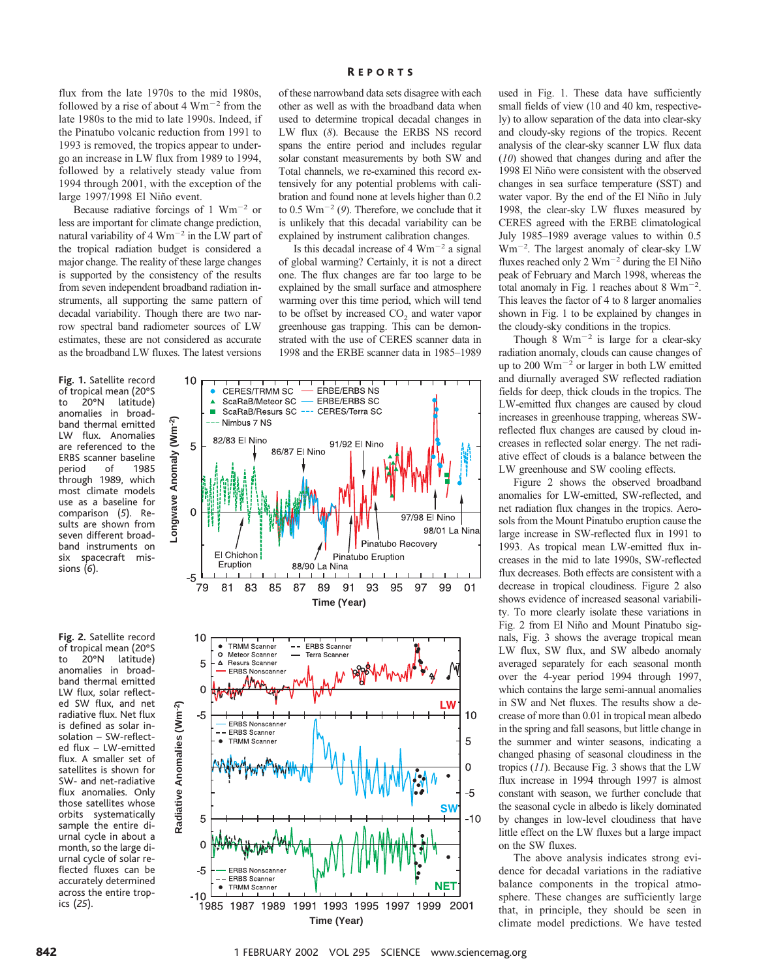flux from the late 1970s to the mid 1980s, followed by a rise of about 4  $Wm^{-2}$  from the late 1980s to the mid to late 1990s. Indeed, if the Pinatubo volcanic reduction from 1991 to 1993 is removed, the tropics appear to undergo an increase in LW flux from 1989 to 1994, followed by a relatively steady value from 1994 through 2001, with the exception of the large 1997/1998 El Niño event.

Because radiative forcings of 1  $Wm^{-2}$  or less are important for climate change prediction, natural variability of 4  $Wm^{-2}$  in the LW part of the tropical radiation budget is considered a major change. The reality of these large changes is supported by the consistency of the results from seven independent broadband radiation instruments, all supporting the same pattern of decadal variability. Though there are two narrow spectral band radiometer sources of LW estimates, these are not considered as accurate as the broadband LW fluxes. The latest versions

**Fig. 1.** Satellite record of tropical mean (20°S<br>to 20°N latitude) to 20°N latitude) anomalies in broadband thermal emitted LW flux. Anomalies are referenced to the ERBS scanner baseline<br>period of 1985 period through 1989, which most climate models use as a baseline for comparison (*5*). Results are shown from seven different broadband instruments on six spacecraft missions (*6*).

**Fig. 2.** Satellite record of tropical mean (20°S latitude) anomalies in broadband thermal emitted LW flux, solar reflected SW flux, and net radiative flux. Net flux is defined as solar insolation – SW-reflected flux – LW-emitted flux. A smaller set of satellites is shown for SW- and net-radiative flux anomalies. Only those satellites whose orbits systematically sample the entire diurnal cycle in about a month, so the large diurnal cycle of solar reflected fluxes can be accurately determined across the entire tropics (*25*).

### R EPORTS

of these narrowband data sets disagree with each other as well as with the broadband data when used to determine tropical decadal changes in LW flux (*8*). Because the ERBS NS record spans the entire period and includes regular solar constant measurements by both SW and Total channels, we re-examined this record extensively for any potential problems with calibration and found none at levels higher than 0.2 to  $0.5 \text{ Wm}^{-2}$  (9). Therefore, we conclude that it is unlikely that this decadal variability can be explained by instrument calibration changes.

Is this decadal increase of  $4 \text{ Wm}^{-2}$  a signal of global warming? Certainly, it is not a direct one. The flux changes are far too large to be explained by the small surface and atmosphere warming over this time period, which will tend to be offset by increased CO<sub>2</sub> and water vapor greenhouse gas trapping. This can be demonstrated with the use of CERES scanner data in 1998 and the ERBE scanner data in 1985–1989



used in Fig. 1. These data have sufficiently small fields of view (10 and 40 km, respectively) to allow separation of the data into clear-sky and cloudy-sky regions of the tropics. Recent analysis of the clear-sky scanner LW flux data (*10*) showed that changes during and after the 1998 El Niño were consistent with the observed changes in sea surface temperature (SST) and water vapor. By the end of the El Niño in July 1998, the clear-sky LW fluxes measured by CERES agreed with the ERBE climatological July 1985–1989 average values to within 0.5 Wm<sup>-2</sup>. The largest anomaly of clear-sky LW fluxes reached only  $2 Wm^{-2}$  during the El Niño peak of February and March 1998, whereas the total anomaly in Fig. 1 reaches about 8  $Wm^{-2}$ . This leaves the factor of 4 to 8 larger anomalies shown in Fig. 1 to be explained by changes in the cloudy-sky conditions in the tropics.

Though 8  $Wm^{-2}$  is large for a clear-sky radiation anomaly, clouds can cause changes of up to 200  $Wm^{-2}$  or larger in both LW emitted and diurnally averaged SW reflected radiation fields for deep, thick clouds in the tropics. The LW-emitted flux changes are caused by cloud increases in greenhouse trapping, whereas SWreflected flux changes are caused by cloud increases in reflected solar energy. The net radiative effect of clouds is a balance between the LW greenhouse and SW cooling effects.

Figure 2 shows the observed broadband anomalies for LW-emitted, SW-reflected, and net radiation flux changes in the tropics. Aerosols from the Mount Pinatubo eruption cause the large increase in SW-reflected flux in 1991 to 1993. As tropical mean LW-emitted flux increases in the mid to late 1990s, SW-reflected flux decreases. Both effects are consistent with a decrease in tropical cloudiness. Figure 2 also shows evidence of increased seasonal variability. To more clearly isolate these variations in Fig. 2 from El Niño and Mount Pinatubo signals, Fig. 3 shows the average tropical mean LW flux, SW flux, and SW albedo anomaly averaged separately for each seasonal month over the 4-year period 1994 through 1997, which contains the large semi-annual anomalies in SW and Net fluxes. The results show a decrease of more than 0.01 in tropical mean albedo in the spring and fall seasons, but little change in the summer and winter seasons, indicating a changed phasing of seasonal cloudiness in the tropics (*11*). Because Fig. 3 shows that the LW flux increase in 1994 through 1997 is almost constant with season, we further conclude that the seasonal cycle in albedo is likely dominated by changes in low-level cloudiness that have little effect on the LW fluxes but a large impact on the SW fluxes.

The above analysis indicates strong evidence for decadal variations in the radiative balance components in the tropical atmosphere. These changes are sufficiently large that, in principle, they should be seen in climate model predictions. We have tested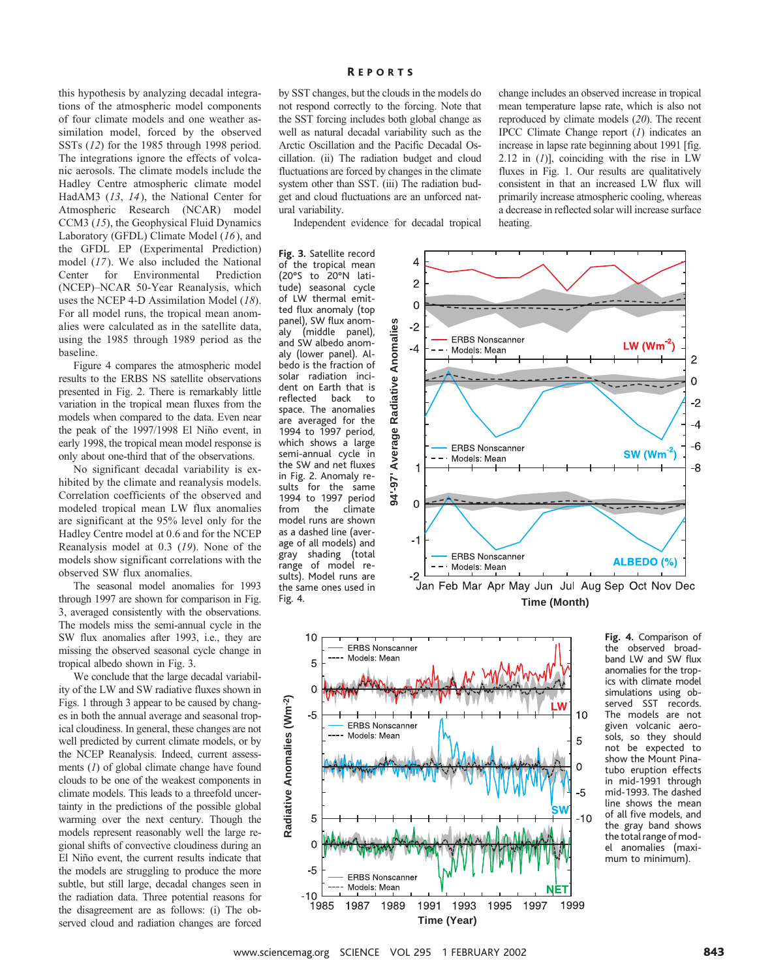this hypothesis by analyzing decadal integrations of the atmospheric model components of four climate models and one weather assimilation model, forced by the observed SSTs (*12*) for the 1985 through 1998 period. The integrations ignore the effects of volcanic aerosols. The climate models include the Hadley Centre atmospheric climate model HadAM3 (*13*, *14*), the National Center for Atmospheric Research (NCAR) model CCM3 (*15*), the Geophysical Fluid Dynamics Laboratory (GFDL) Climate Model (*16*), and the GFDL EP (Experimental Prediction) model (*17*). We also included the National Center for Environmental Prediction (NCEP)–NCAR 50-Year Reanalysis, which uses the NCEP 4-D Assimilation Model (*18*). For all model runs, the tropical mean anomalies were calculated as in the satellite data, using the 1985 through 1989 period as the baseline.

Figure 4 compares the atmospheric model results to the ERBS NS satellite observations presented in Fig. 2. There is remarkably little variation in the tropical mean fluxes from the models when compared to the data. Even near the peak of the 1997/1998 El Niño event, in early 1998, the tropical mean model response is only about one-third that of the observations.

No significant decadal variability is exhibited by the climate and reanalysis models. Correlation coefficients of the observed and modeled tropical mean LW flux anomalies are significant at the 95% level only for the Hadley Centre model at 0.6 and for the NCEP Reanalysis model at 0.3 (*19*). None of the models show significant correlations with the observed SW flux anomalies.

The seasonal model anomalies for 1993 through 1997 are shown for comparison in Fig. 3, averaged consistently with the observations. The models miss the semi-annual cycle in the SW flux anomalies after 1993, i.e., they are missing the observed seasonal cycle change in tropical albedo shown in Fig. 3.

We conclude that the large decadal variability of the LW and SW radiative fluxes shown in Figs. 1 through 3 appear to be caused by changes in both the annual average and seasonal tropical cloudiness. In general, these changes are not well predicted by current climate models, or by the NCEP Reanalysis. Indeed, current assessments (*1*) of global climate change have found clouds to be one of the weakest components in climate models. This leads to a threefold uncertainty in the predictions of the possible global warming over the next century. Though the models represent reasonably well the large regional shifts of convective cloudiness during an El Niño event, the current results indicate that the models are struggling to produce the more subtle, but still large, decadal changes seen in the radiation data. Three potential reasons for the disagreement are as follows: (i) The observed cloud and radiation changes are forced

### R EPORTS

by SST changes, but the clouds in the models do not respond correctly to the forcing. Note that the SST forcing includes both global change as well as natural decadal variability such as the Arctic Oscillation and the Pacific Decadal Oscillation. (ii) The radiation budget and cloud fluctuations are forced by changes in the climate system other than SST. (iii) The radiation budget and cloud fluctuations are an unforced natural variability.

Independent evidence for decadal tropical

**Fig. 3.** Satellite record of the tropical mean (20°S to 20°N latitude) seasonal cycle of LW thermal emitted flux anomaly (top panel), SW flux anomaly (middle panel), and SW albedo anomaly (lower panel). Albedo is the fraction of solar radiation incident on Earth that is<br>reflected back to reflected space. The anomalies are averaged for the 1994 to 1997 period, which shows a large semi-annual cycle in the SW and net fluxes in Fig. 2. Anomaly results for the same 1994 to 1997 period from the climate model runs are shown as a dashed line (average of all models) and gray shading (total range of model results). Model runs are the same ones used in Fig. 4.



**Time (Month)**



**Fig. 4.** Comparison of the observed broadband LW and SW flux anomalies for the tropics with climate model simulations using observed SST records. The models are not given volcanic aerosols, so they should not be expected to show the Mount Pinatubo eruption effects in mid-1991 through mid-1993. The dashed line shows the mean of all five models, and the gray band shows the total range of model anomalies (maximum to minimum).

change includes an observed increase in tropical mean temperature lapse rate, which is also not reproduced by climate models (*20*). The recent IPCC Climate Change report (*1*) indicates an increase in lapse rate beginning about 1991 [fig. 2.12 in (*1*)], coinciding with the rise in LW fluxes in Fig. 1. Our results are qualitatively consistent in that an increased LW flux will primarily increase atmospheric cooling, whereas a decrease in reflected solar will increase surface heating.